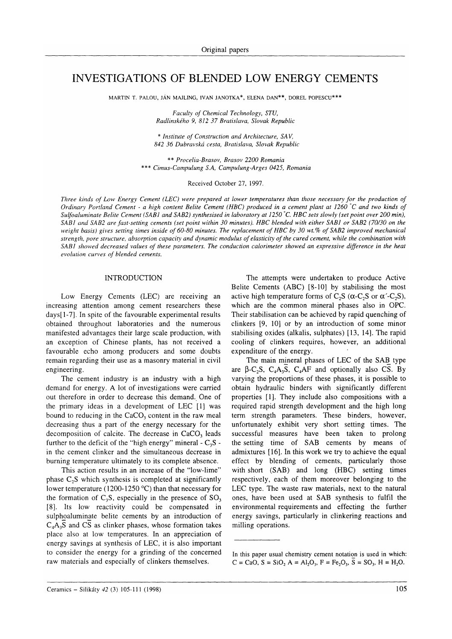# INVESTIGATIONS OF BLENDED LOW ENERGY CEMENTS

MARTIN T. PALOU, JÁN MAJLING, IVAN JANOTKA\*, ELENA DAN\*\*, DOREL POPESCU\*\*\*

Faculty of Chemical Technology, STU, Radlinského 9, 812 37 Bratislava, Slovak Republic

\* Institute of Construction and Architecture, SAV, 842 36 Dubravská cesta, Bratislava, Slovak Republic

\*\* Procelia-Brasov. Brasov 2200 Romania \*\*\* Cimus-Campulung S.A, Campulung-Arges 0425, Romania

Received October 27, 1997.

Three kinds of Low Energy Cement (LEC) were prepared at lower temperatures than those necessary for the production of Ordinary Portland Cement - a high content Belite Cement (HBC) produced in a cement plant at 1260"C and wo kinds of Sulfoaluminate Belite Cement (SABI and SAB2) synthesised in laboratory at 1250 °C. HBC sets slowly (set point over 200 min), SABI and SAB2 are fast-setting cements (set point within 30 minutes). HBC blended with either SABI or SAB2 (70/30 on the weight basis) gives setting times inside of 60-80 minutes. The replacement of HBC by 30 wt.% of SAB2 improved mechanical strength, pore structure, absorption capacity and dynamic modulus of elasticity of the cured cement, while the combination with SABI showed decreased values of these parameters. The conduction calorimeter showed an expressive difference in the heat evolution curves of blended cements.

## INTRODUCTION

Low Energy Cements (LEC) are receiving an increasing attention among cement researchers these days[1-7]. In spite of the favourable experimental results obtained throughout laboratories and the numerous manifested advantages their large scale production, with an exception of Chinese plants, has not received <sup>a</sup> favourable echo among producers and some doubts remain regarding their use as a masonry material in civil engineering.

The cement industry is an industry with a high demand for energy. A lot of investigations were carried out therefore in order to decrease this demand.. One of the primary ideas in a development of LEC [1] was bound to reducing in the CaCO, content in the raw meal decreasing thus a part of the energy necessary for the decomposition of calcite. The decrease in CaCO, leads further to the deficit of the "high energy" mineral  $-C_3S$  in the cement clinker and the simultaneous decrease in burning temperature ultimately to its complete absence.

This action results in an increase of the "low-lime" phase  $C_2$ S which synthesis is completed at significantly lower temperature (1200-1250 °C) than that necessary for the formation of  $C_3S$ , especially in the presence of  $SO_3$ [8]. Its low reactivity could be compensated in sulphoaluminate belite cements by an introduction of  $C_4A_3S$  and CS as clinker phases, whose formation takes place also at low temperatures. In an appreciation of energy savings at synthesis of LEC, it is also important to consider the energy for a grinding of the concerned raw materials and especially of clinkers themselves.

The attempts were undertaken to produce Active Belite Cements  $(ABC)$  [8-10] by stabilising the most active high temperature forms of C<sub>2</sub>S ( $\alpha$ -C<sub>2</sub>S or  $\alpha$ <sup>-</sup>-C<sub>2</sub>S), which are the common mineral phases also in OPC. Their stabilisation can be achieved by rapid quenching of clinkers [9, l0] or by an introduction of some minor stabilising oxides (alkalis, sulphates) [13, 14]. The rapid cooling of clinkers requires, however, an additional expenditure of the energy

The main mineral phases of LEC of the SAB type are  $\beta$ -C<sub>2</sub>S, C<sub>4</sub>A<sub>3</sub>S, C<sub>4</sub>A<sub>F</sub> and optionally also CS. By varying the proportions of these phases, it is possible to obtain hydraulic binders with significantly different properties [1]. They include also compositions with <sup>a</sup> required rapid strength development and the high long term strength parameters. These binders, however, unfortunately exhibit very short setting times. The successful measures have been taken to prolong the setting time of SAB cements by means of admixtures [16]. In this work we try to achieve the equal effect by blending of cements, particularly those with short (SAB) and long (HBC) setting times respectively, each of them moreover belonging to the LEC type. The waste raw materials, next to the natural ones, have been used at SAB synthesis to fulfil the environmental requirements and effecting the further energy savings, particularly in clinkering reactions and milling operations.

In this paper usual chemistry cement notation is used in which:  $C = CaO, S = SiO, A = Al, O<sub>3</sub>, F = Fe, O<sub>3</sub>, \overline{S} = SO<sub>3</sub>, H = H<sub>2</sub>O.$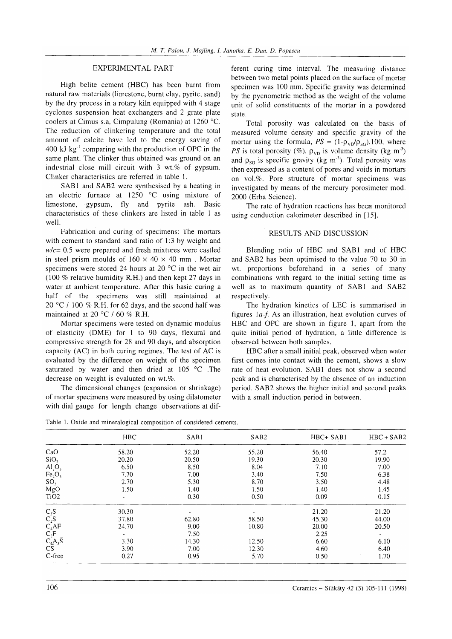#### EXPERIMENTAL PART

High belite cement (HBC) has been burnt from natural raw materials (limestone, burnt clay, pyrite, sand) by the dry process in a rotary kiln equipped with 4 stage cyclones suspension heat exchangers and 2 grate plate coolers at Cimus s.a, Cimpulung (Romania) at 1260 "C. The reduction of clinkering temperature and the total amount of calcite have led to the energy saving of 400 kJ kg<sup>-1</sup> comparing with the production of OPC in the same plant. The clinker thus obtained was ground on an industrial close mill circuit with  $3 \text{ wt.} \%$  of gypsum. Clinker characteristics are referred in table 1.

SAB1 and SAB2 were synthesised by a heating in an electric furnace at 1250 "C using mixture of limestone, gypsum, fly and pyrite ash. Basic characteristics of these clinkers are listed in table 1 as well.

Fabrication and curing of specimens: The mortars with cement to standard sand ratio of 1:3 by weight and  $w/c= 0.5$  were prepared and fresh mixtures were castled in steel prism moulds of  $160 \times 40 \times 40$  mm. Mortar specimens were stored 24 hours at 20  $^{\circ}$ C in the wet air (100 % relative humidity R.H.) and then kept 21 days in water at ambient temperature. After this basic curing a half of the specimens was still maintained at 20 °C / 100 % R.H. for 62 days, and the second half was maintained at 20 $\degree$ C / 60 % R.H.

Mortar specimens were tested on dynamic moduius of elasticity (DME) for 1 to 90 days, flexural and compressive strength for 28 and 90 days, and absorption capacity (AC) in both curing regimes. The test of AC is evaluated by the difference on weight of the specimen saturated by water and then dried at  $105 \text{ °C}$  . The decrease on weight is evaluated on wt.%.

The dimensional changes (expansion or shrinkage) of mortar specimens were measured by using dilatometer with dial gauge for length change observations at different curing time interval. The measuring distance between two metal points placed on the surface of mortar specimen was 100 mm. Specific gravity was determined by the pycnometric method as the weight of the volume unit of solid constituents of the mortar in a powdered state.

Total porosity was calculated on the basis of measured volume density and specific gravity of the mortar using the formula,  $PS = (1-p_{VD}/p_{SG})$ .100, where PS is total porosity (%),  $\rho_{VD}$  is volume density (kg m<sup>-3</sup>) and  $\rho_{SG}$  is specific gravity (kg m<sup>-3</sup>). Total porosity was then expressed as a content of pores and voids in mortars on vol.%. Pore structure of mortar specimens was investigated by means of the mercury porosimeter mod. 2000 (Erba Science).

The rate of hydration reactions has been monitored using conduction calorimeter described in [15].

# RESULTS AND DISCUSSION

Blending ratio of HBC and SABI and of HBC and SAB2 has been optimised to the value 70 to 30 in wt. proportions beforehand in a series of many combinations with regard to the initial setting time as well as to maximum quantity of SAB1 and SAB2 respectively.

The hydration kinetics of LEC is summarised in figures la-f. As an illustration, heat evolution curves of HBC and OPC are shown in figure 1, apart from the quite initial period of hydration, a little difference is observed between both samples.

HBC after a small initial peak, observed when water first comes into contact with the cement, shows a slow rate of heat evolution. SAB1 does not show a second peak and is characterised by the absence of an induction period. SAB2 shows the higher initia! and second peaks with a small induction period in between.

|                                                     | <b>HBC</b>               | SAB1  | SAB <sub>2</sub> | HBC+ SAB1 | $HBC + SAB2$ |
|-----------------------------------------------------|--------------------------|-------|------------------|-----------|--------------|
| CaO                                                 | 58.20                    | 52.20 | 55.20            | 56.40     | 57.2         |
| SiO <sub>2</sub>                                    | 20.20                    | 20.50 | 19.30            | 20.30     | 19.90        |
| $\text{Al}_2\text{O}_3$                             | 6.50                     | 8.50  | 8.04             | 7.10      | 7.00         |
| Fe <sub>2</sub> O <sub>3</sub>                      | 7.70                     | 7.00  | 3.40             | 7.50      | 6.38         |
| SO <sub>3</sub>                                     | 2.70                     | 5.30  | 8.70             | 3.50      | 4.48         |
| MgO                                                 | 1.50                     | 1.40  | 1.50             | 1.40      | 1.45         |
| T <sub>i</sub> O <sub>2</sub>                       | ٠                        | 0.30  | 0.50             | 0.09      | 0.15         |
| $C_3S$                                              | 30.30                    | ٠     |                  | 21.20     | 21.20        |
| $C_2S$                                              | 37.80                    | 62.80 | 58.50            | 45.30     | 44.00        |
|                                                     | 24.70                    | 9.00  | 10.80            | 20.00     | 20.50        |
|                                                     | $\overline{\phantom{a}}$ | 7.50  |                  | 2.25      | $\sim$       |
|                                                     | 3.30                     | 14.30 | 12.50            | 6.60      | 6.10         |
| $C_4^A$ AF<br>$C_2$ F<br>$C_4A_3\overline{S}$<br>CS | 3.90                     | 7.00  | 12.30            | 4.60      | 6.40         |
| C-free                                              | 0.27                     | 0.95  | 5.70             | 0.50      | 1.70         |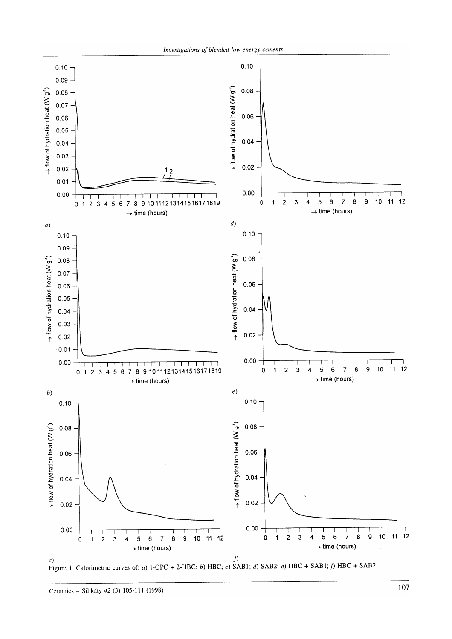



Ceramics - Silikáty 42 (3) l05-111 (1998)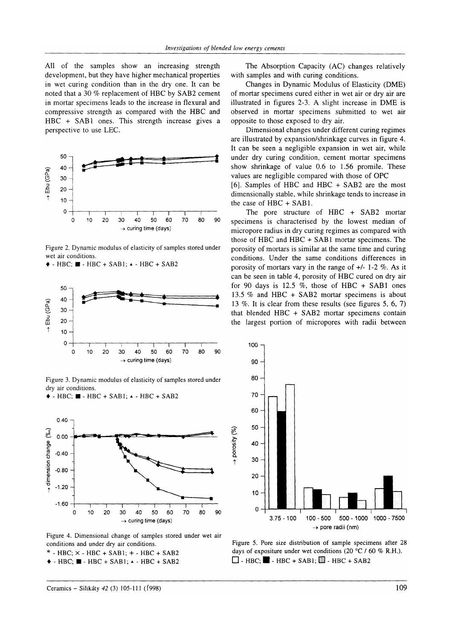All of the samples show an increasing strength development, but they have higher mechanical properties in wet curing condition than in the dry one. It can be noted that a 30 % replacement of HBC by SAB2 cement in mortar specimens leads to the increase in flexural and compressive strength as compared with the HBC and  $HBC + SAB1$  ones. This strength increase gives a perspective to use LEC.



Figure 2. Dynamic modulus of elasticity of samples stored under wet air conditions.

 $\triangle$  - HBC;  $\blacksquare$  - HBC + SAB1;  $\triangle$  - HBC + SAB2



Figure 3. Dynamic modulus of elasticity of samples stored under dry air conditions.

 $\triangle$  - HBC;  $\blacksquare$  - HBC + SAB1;  $\triangle$  - HBC + SAB2



Figure 4. Dimensional change of samples stored under wet air conditions and under dry air conditions.

 $*$  - HBC;  $\times$  - HBC + SAB1; + - HBC + SAB2

 $\triangle$  - HBC;  $\blacksquare$  - HBC + SAB1;  $\triangle$  - HBC + SAB2

The Absorption Capacity (AC) changes relatively with samples and with curing conditions.

Changes in Dynamic Modulus of Elasticity (DME) of mortar specimens cured either in wet air or dry air are illustrated in figures 2-3. A slight increase in DME is observed in mortar specimens submitted to wet air opposite to those exposed to dry air.

Dimensional changes under dífferent curing regimes are illustrated by expansion/shrinkage curves in figure 4. It can be seen a negligible expansion in wet air, while under dry curing condition, cement mortar specimens show shrinkage of value 0.6 to 1.56 promile. These values are negligible compared with those of OPC

[6]. Samples of HBC and HBC + SAB2 are the most dimensionally stable, while shrinkage tends to increase in the case of HBC + SAB1.

The pore structure of HBC + SAB2 mortar specimens is characterised by the lowest median of micropore radius in dry curing regimes as compared with those of HBC and HBC  $+$  SAB1 mortar specimens. The porosity of mortars is similar at the same time and curing conditions. Under the same conditions differences in porosity of mortars vary in the range of  $+/- 1-2$  %. As it can be seen in table 4, porosity of HBC cured on dry air for 90 days is 12.5 %, those of HBC + SAB1 ones 13.5  $%$  and HBC + SAB2 mortar specimens is about 13 Vo. It is clear from these results (see figures 5, 6, 7) that blended HBC + SAB2 mortar specimens contain the largest portion of micropores with radii between



Figure 5. Pore size distribution of sample specimens after 28 days of expositure under wet conditions (20  $^{\circ}$ C / 60 % R.H.).  $\Box$  - HBC;  $\blacksquare$  - HBC + SAB1;  $\blacksquare$  - HBC + SAB2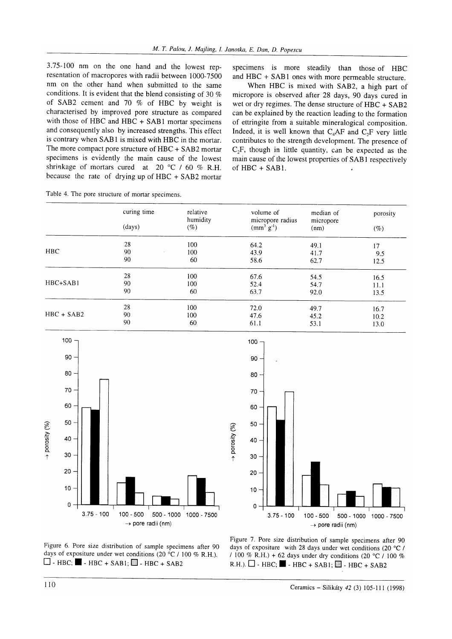3.75-100 nm on the one hand and the lowest representation of macropores with radii between 1000-7500 nm on the other hand when submitted to the same conditions. It is evident that the blend consisting of 30  $%$ of SAB2 cement and 70  $%$  of HBC by weight is characterised by improved pore structure as compared with those of HBC and HBC + SAB1 mortar specimens and consequently also by increased strengths. This effect is contrary when SAB1 is mixed with HBC in the mortar. The more compact pore structure of HBC + SAB2 mortar specimens is evidently the main cause of the lowest shrinkage of mortars cured at 20 °C / 60 % R.H. because the rate of drying up of HBC + SAB2 mortar

|  |  |  |  |  |  | Table 4. The pore structure of mortar specimens. |
|--|--|--|--|--|--|--------------------------------------------------|
|--|--|--|--|--|--|--------------------------------------------------|

specimens is more steadily than those of HBC and HBC + SAB1 ones with more permeable structure.

When HBC is mixed with SAB2, a high parr of micropore is observed after 28 days, 90 days cured in wet or dry regimes. The dense structure of HBC + SAB2 can be explained by the reaction leading to the formation of ettringite from a suitable mineralogical composition. Indeed, it is well known that  $C_4AF$  and  $C_3F$  very little contributes to the strength development. The presence of  $C_2F$ , though in little quantity, can be expected as the main cause of the lowest properties of SAB I respectively of  $HBC + SAB1$ .

|              | curing time        | relative<br>humidity | volume of<br>micropore radius | median of<br>micropore<br>(nm) | porosity<br>$(\%)$ |
|--------------|--------------------|----------------------|-------------------------------|--------------------------------|--------------------|
|              | (days)             | $(\%)$               | $(mm^3 g^{-1})$               |                                |                    |
|              | 28                 | 100                  | 64.2                          | 49.1                           | 17                 |
| <b>HBC</b>   | 90<br>$\mathbf{r}$ | 100                  | 43.9                          | 41.7                           | 9.5                |
|              | 90                 | 60                   | 58.6                          | 62.7                           | 12.5               |
| HBC+SAB1     | 28                 | 100                  | 67.6                          | 54.5                           | 16.5               |
|              | 90                 | 100                  | 52.4                          | 54.7                           | 11.1               |
|              | 90                 | 60                   | 63.7                          | 92.0                           | 13.5               |
| $HBC + SAB2$ | 28                 | 100                  | 72.0                          | 49.7                           | 16.7               |
|              | 90                 | 100                  | 47.6                          | 45.2                           | 10.2               |
|              | 90                 | 60                   | 61.1                          | 53.1                           | 13.0               |

Sol

→ porosit





Figure ó. Pore size distribution of sample specimens after 90 days of expositure under wet conditions (20  $^{\circ}$ C / 100 % R.H.).  $\Box$  - HBC;  $\blacksquare$  - HBC + SAB1;  $\blacksquare$  - HBC + SAB2

Figure 7. Pore size distribution of sample specimens after 90 days of expositure with 28 days under wet conditions (20  $^{\circ}$ C / / 100 % R.H.) + 62 days under dry conditions (20 °C / 100 %  $R.H.$ ).  $\Box$  - HBC;  $\blacksquare$  - HBC + SAB1;  $\blacksquare$  - HBC + SAB2